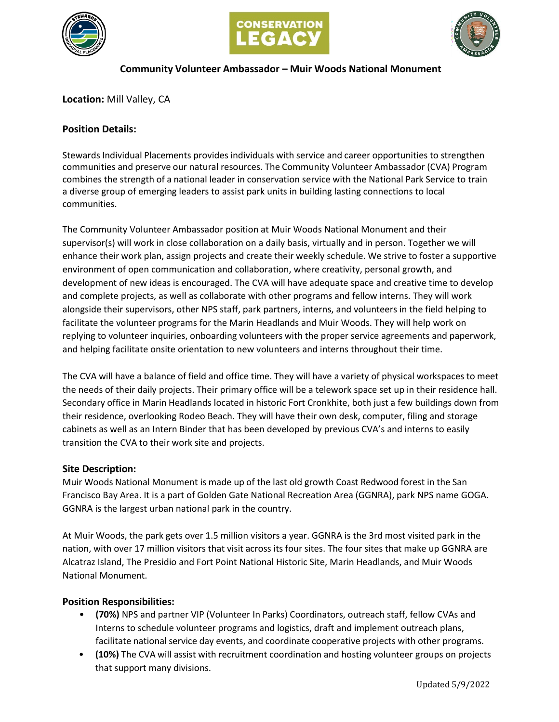





### **Community Volunteer Ambassador – Muir Woods National Monument**

**Location:** Mill Valley, CA

### **Position Details:**

Stewards Individual Placements provides individuals with service and career opportunities to strengthen communities and preserve our natural resources. The Community Volunteer Ambassador (CVA) Program combines the strength of a national leader in conservation service with the National Park Service to train a diverse group of emerging leaders to assist park units in building lasting connections to local communities.

The Community Volunteer Ambassador position at Muir Woods National Monument and their supervisor(s) will work in close collaboration on a daily basis, virtually and in person. Together we will enhance their work plan, assign projects and create their weekly schedule. We strive to foster a supportive environment of open communication and collaboration, where creativity, personal growth, and development of new ideas is encouraged. The CVA will have adequate space and creative time to develop and complete projects, as well as collaborate with other programs and fellow interns. They will work alongside their supervisors, other NPS staff, park partners, interns, and volunteers in the field helping to facilitate the volunteer programs for the Marin Headlands and Muir Woods. They will help work on replying to volunteer inquiries, onboarding volunteers with the proper service agreements and paperwork, and helping facilitate onsite orientation to new volunteers and interns throughout their time.

The CVA will have a balance of field and office time. They will have a variety of physical workspaces to meet the needs of their daily projects. Their primary office will be a telework space set up in their residence hall. Secondary office in Marin Headlands located in historic Fort Cronkhite, both just a few buildings down from their residence, overlooking Rodeo Beach. They will have their own desk, computer, filing and storage cabinets as well as an Intern Binder that has been developed by previous CVA's and interns to easily transition the CVA to their work site and projects.

#### **Site Description:**

Muir Woods National Monument is made up of the last old growth Coast Redwood forest in the San Francisco Bay Area. It is a part of Golden Gate National Recreation Area (GGNRA), park NPS name GOGA. GGNRA is the largest urban national park in the country.

At Muir Woods, the park gets over 1.5 million visitors a year. GGNRA is the 3rd most visited park in the nation, with over 17 million visitors that visit across its four sites. The four sites that make up GGNRA are Alcatraz Island, The Presidio and Fort Point National Historic Site, Marin Headlands, and Muir Woods National Monument.

#### **Position Responsibilities:**

- **(70%)** NPS and partner VIP (Volunteer In Parks) Coordinators, outreach staff, fellow CVAs and Interns to schedule volunteer programs and logistics, draft and implement outreach plans, facilitate national service day events, and coordinate cooperative projects with other programs.
- **(10%)** The CVA will assist with recruitment coordination and hosting volunteer groups on projects that support many divisions.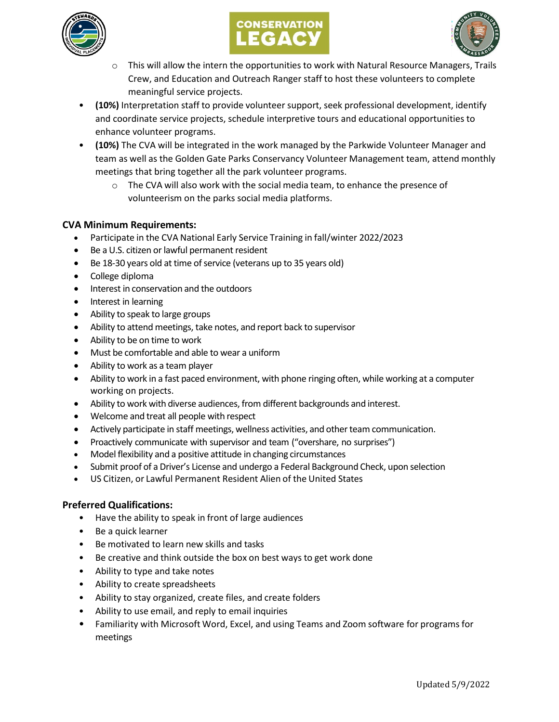





- $\circ$  This will allow the intern the opportunities to work with Natural Resource Managers, Trails Crew, and Education and Outreach Ranger staff to host these volunteers to complete meaningful service projects.
- **(10%)** Interpretation staff to provide volunteer support, seek professional development, identify and coordinate service projects, schedule interpretive tours and educational opportunities to enhance volunteer programs.
- **(10%)** The CVA will be integrated in the work managed by the Parkwide Volunteer Manager and team as well as the Golden Gate Parks Conservancy Volunteer Management team, attend monthly meetings that bring together all the park volunteer programs.
	- o The CVA will also work with the social media team, to enhance the presence of volunteerism on the parks social media platforms.

# **CVA Minimum Requirements:**

- Participate in the CVA National Early Service Training in fall/winter 2022/2023
- Be a U.S. citizen or lawful permanent resident
- Be 18-30 years old at time of service (veterans up to 35 years old)
- College diploma
- Interest in conservation and the outdoors
- Interest in learning
- Ability to speak to large groups
- Ability to attend meetings, take notes, and report back to supervisor
- Ability to be on time to work
- Must be comfortable and able to wear a uniform
- Ability to work as a team player
- Ability to work in a fast paced environment, with phone ringing often, while working at a computer working on projects.
- Ability to work with diverse audiences, from different backgrounds and interest.
- Welcome and treat all people with respect
- Actively participate in staff meetings, wellness activities, and other team communication.
- Proactively communicate with supervisor and team ("overshare, no surprises")
- Model flexibility and a positive attitude in changing circumstances
- Submit proof of a Driver's License and undergo a Federal Background Check, upon selection
- US Citizen, or Lawful Permanent Resident Alien of the United States

# **Preferred Qualifications:**

- Have the ability to speak in front of large audiences
- Be a quick learner
- Be motivated to learn new skills and tasks
- Be creative and think outside the box on best ways to get work done
- Ability to type and take notes
- Ability to create spreadsheets
- Ability to stay organized, create files, and create folders
- Ability to use email, and reply to email inquiries
- Familiarity with Microsoft Word, Excel, and using Teams and Zoom software for programs for meetings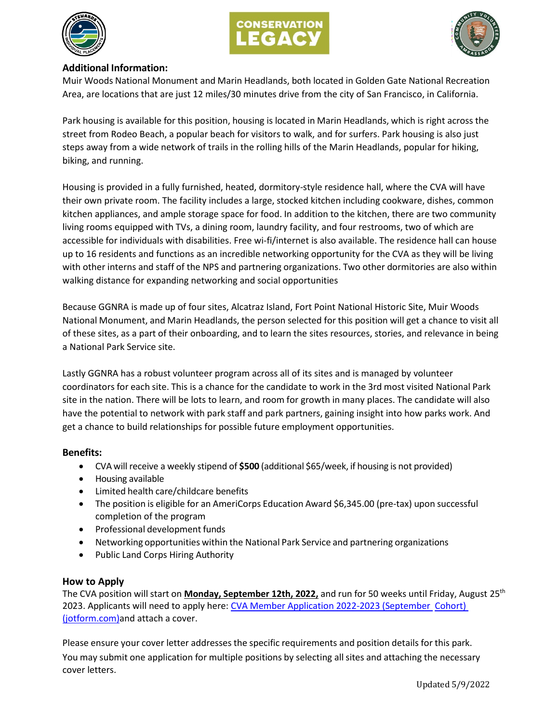





# **Additional Information:**

Muir Woods National Monument and Marin Headlands, both located in Golden Gate National Recreation Area, are locations that are just 12 miles/30 minutes drive from the city of San Francisco, in California.

Park housing is available for this position, housing is located in Marin Headlands, which is right across the street from Rodeo Beach, a popular beach for visitors to walk, and for surfers. Park housing is also just steps away from a wide network of trails in the rolling hills of the Marin Headlands, popular for hiking, biking, and running.

Housing is provided in a fully furnished, heated, dormitory-style residence hall, where the CVA will have their own private room. The facility includes a large, stocked kitchen including cookware, dishes, common kitchen appliances, and ample storage space for food. In addition to the kitchen, there are two community living rooms equipped with TVs, a dining room, laundry facility, and four restrooms, two of which are accessible for individuals with disabilities. Free wi-fi/internet is also available. The residence hall can house up to 16 residents and functions as an incredible networking opportunity for the CVA as they will be living with other interns and staff of the NPS and partnering organizations. Two other dormitories are also within walking distance for expanding networking and social opportunities

Because GGNRA is made up of four sites, Alcatraz Island, Fort Point National Historic Site, Muir Woods National Monument, and Marin Headlands, the person selected for this position will get a chance to visit all of these sites, as a part of their onboarding, and to learn the sites resources, stories, and relevance in being a National Park Service site.

Lastly GGNRA has a robust volunteer program across all of its sites and is managed by volunteer coordinators for each site. This is a chance for the candidate to work in the 3rd most visited National Park site in the nation. There will be lots to learn, and room for growth in many places. The candidate will also have the potential to network with park staff and park partners, gaining insight into how parks work. And get a chance to build relationships for possible future employment opportunities.

# **Benefits:**

- CVA will receive a weekly stipend of **\$500** (additional \$65/week, if housing is not provided)
- Housing available
- Limited health care/childcare benefits
- The position is eligible for an AmeriCorps Education Award \$6,345.00 (pre-tax) upon successful completion of the program
- Professional development funds
- Networking opportunities within the National Park Service and partnering organizations
- Public Land Corps Hiring Authority

# **How to Apply**

The CVA position will start on **Monday, September 12th, 2022,** and run for 50 weeks until Friday, August 25th 2023. Applicants will need to apply here: CVA Member Application 2022-2023 (September Cohort) [\(jotform.com\)a](https://form.jotform.com/221255497395162)nd attach a cover.

Please ensure your cover letter addresses the specific requirements and position details for this park. You may submit one application for multiple positions by selecting all sites and attaching the necessary cover letters.